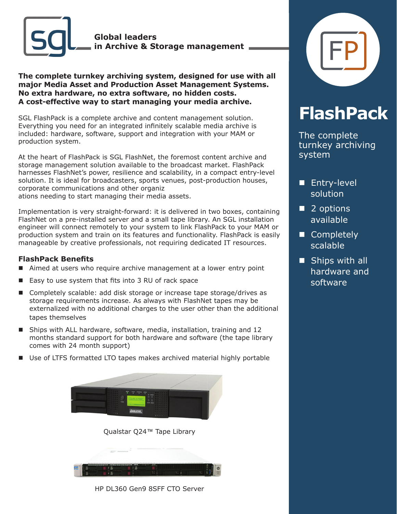

**The complete turnkey archiving system, designed for use with all major Media Asset and Production Asset Management Systems. No extra hardware, no extra software, no hidden costs. A cost-effective way to start managing your media archive.**

SGL FlashPack is a complete archive and content management solution. Everything you need for an integrated infinitely scalable media archive is included: hardware, software, support and integration with your MAM or production system.

At the heart of FlashPack is SGL FlashNet, the foremost content archive and storage management solution available to the broadcast market. FlashPack harnesses FlashNet's power, resilience and scalability, in a compact entry-level solution. It is ideal for broadcasters, sports venues, post-production houses, corporate communications and other organiz ations needing to start managing their media assets.

Implementation is very straight-forward: it is delivered in two boxes, containing FlashNet on a pre-installed server and a small tape library. An SGL installation engineer will connect remotely to your system to link FlashPack to your MAM or production system and train on its features and functionality. FlashPack is easily manageable by creative professionals, not requiring dedicated IT resources.

## **FlashPack Benefits**

- Aimed at users who require archive management at a lower entry point
- $\blacksquare$  Easy to use system that fits into 3 RU of rack space
- Completely scalable: add disk storage or increase tape storage/drives as storage requirements increase. As always with FlashNet tapes may be externalized with no additional charges to the user other than the additional tapes themselves
- Ships with ALL hardware, software, media, installation, training and 12 months standard support for both hardware and software (the tape library comes with 24 month support)
- Use of LTFS formatted LTO tapes makes archived material highly portable



Qualstar Q24™ Tape Library



HP DL360 Gen9 8SFF CTO Server



## **FlashPack**

The complete turnkey archiving system

- **n** Entry-level solution
- $\blacksquare$  2 options available
- Completely scalable
- $\blacksquare$  Ships with all hardware and software